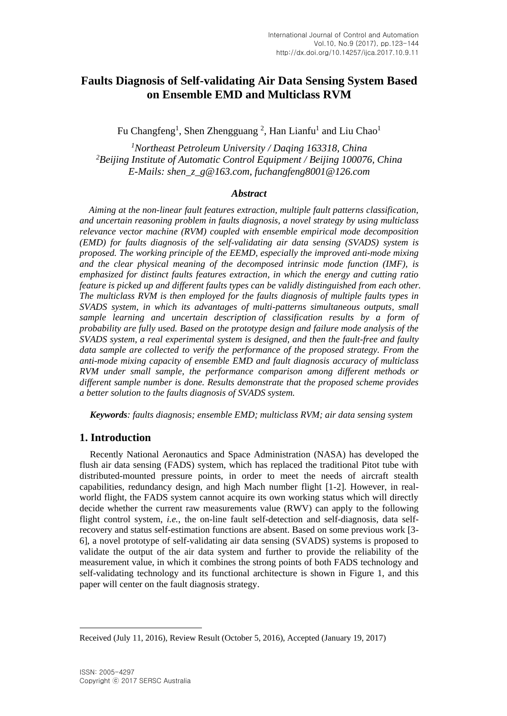# **Faults Diagnosis of Self-validating Air Data Sensing System Based on Ensemble EMD and Multiclass RVM**

Fu Changfeng<sup>1</sup>, Shen Zhengguang<sup>2</sup>, Han Lianfu<sup>1</sup> and Liu Chao<sup>1</sup>

*<sup>1</sup>Northeast Petroleum University / Daqing 163318, China <sup>2</sup>Beijing Institute of Automatic Control Equipment / Beijing 100076, China E-Mails: shen\_z\_g@163.com, fuchangfeng8001@126.com*

### *Abstract*

*Aiming at the non-linear fault features extraction, multiple fault patterns classification, and uncertain reasoning problem in faults diagnosis, a novel strategy by using multiclass relevance vector machine (RVM) coupled with ensemble empirical mode decomposition (EMD) for faults diagnosis of the self-validating air data sensing (SVADS) system is proposed. The working principle of the EEMD, especially the improved anti-mode mixing and the clear physical meaning of the decomposed intrinsic mode function (IMF), is emphasized for distinct faults features extraction, in which the energy and cutting ratio feature is picked up and different faults types can be validly distinguished from each other. The multiclass RVM is then employed for the faults diagnosis of multiple faults types in SVADS system, in which its advantages of multi-patterns simultaneous outputs, small sample learning and uncertain description of classification results by a form of probability are fully used. Based on the prototype design and failure mode analysis of the SVADS system, a real experimental system is designed, and then the fault-free and faulty data sample are collected to verify the performance of the proposed strategy. From the anti-mode mixing capacity of ensemble EMD and fault diagnosis accuracy of multiclass RVM under small sample, the performance comparison among different methods or different sample number is done. Results demonstrate that the proposed scheme provides a better solution to the faults diagnosis of SVADS system.*

*Keywords: faults diagnosis; ensemble EMD; multiclass RVM; air data sensing system*

## **1. Introduction**

Recently National Aeronautics and Space Administration (NASA) has developed the flush air data sensing (FADS) system, which has replaced the traditional Pitot tube with distributed-mounted pressure points, in order to meet the needs of aircraft stealth capabilities, redundancy design, and high Mach number flight [1-2]. However, in realworld flight, the FADS system cannot acquire its own working status which will directly decide whether the current raw measurements value (RWV) can apply to the following flight control system, *i.e.*, the on-line fault self-detection and self-diagnosis, data selfrecovery and status self-estimation functions are absent. Based on some previous work [3- 6], a novel prototype of self-validating air data sensing (SVADS) systems is proposed to validate the output of the air data system and further to provide the reliability of the measurement value, in which it combines the strong points of both FADS technology and self-validating technology and its functional architecture is shown in Figure 1, and this paper will center on the fault diagnosis strategy.

 $\overline{a}$ 

Received (July 11, 2016), Review Result (October 5, 2016), Accepted (January 19, 2017)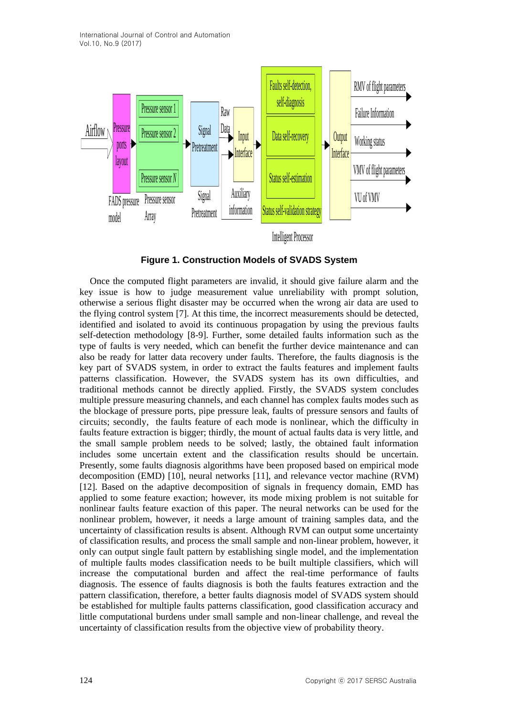

**Figure 1. Construction Models of SVADS System**

Once the computed flight parameters are invalid, it should give failure alarm and the key issue is how to judge measurement value unreliability with prompt solution, otherwise a serious flight disaster may be occurred when the wrong air data are used to the flying control system [7]. At this time, the incorrect measurements should be detected, identified and isolated to avoid its continuous propagation by using the previous faults self-detection methodology [8-9]. Further, some detailed faults information such as the type of faults is very needed, which can benefit the further device maintenance and can also be ready for latter data recovery under faults. Therefore, the faults diagnosis is the key part of SVADS system, in order to extract the faults features and implement faults patterns classification. However, the SVADS system has its own difficulties, and traditional methods cannot be directly applied. Firstly, the SVADS system concludes multiple pressure measuring channels, and each channel has complex faults modes such as the blockage of pressure ports, pipe pressure leak, faults of pressure sensors and faults of circuits; secondly, the faults feature of each mode is nonlinear, which the difficulty in faults feature extraction is bigger; thirdly, the mount of actual faults data is very little, and the small sample problem needs to be solved; lastly, the obtained fault information includes some uncertain extent and the classification results should be uncertain. Presently, some faults diagnosis algorithms have been proposed based on empirical mode decomposition (EMD) [10], neural networks [11], and relevance vector machine (RVM) [12]. Based on the adaptive decomposition of signals in frequency domain, EMD has applied to some feature exaction; however, its mode mixing problem is not suitable for nonlinear faults feature exaction of this paper. The neural networks can be used for the nonlinear problem, however, it needs a large amount of training samples data, and the uncertainty of classification results is absent. Although RVM can output some uncertainty of classification results, and process the small sample and non-linear problem, however, it only can output single fault pattern by establishing single model, and the implementation of multiple faults modes classification needs to be built multiple classifiers, which will increase the computational burden and affect the real-time performance of faults diagnosis. The essence of faults diagnosis is both the faults features extraction and the pattern classification, therefore, a better faults diagnosis model of SVADS system should be established for multiple faults patterns classification, good classification accuracy and little computational burdens under small sample and non-linear challenge, and reveal the uncertainty of classification results from the objective view of probability theory.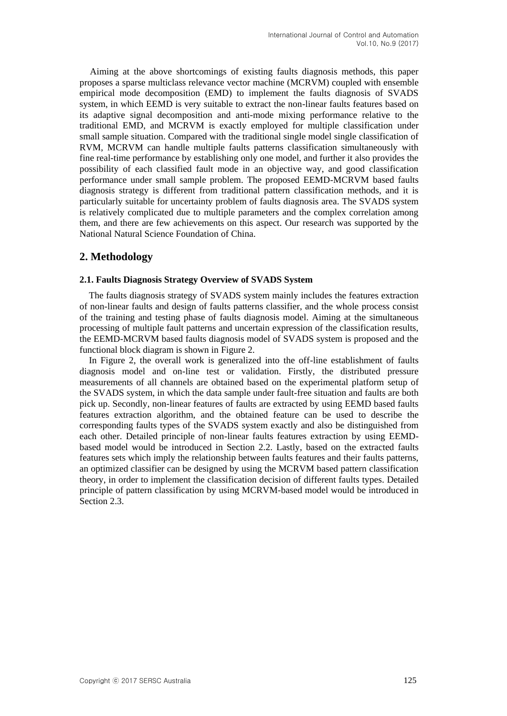Aiming at the above shortcomings of existing faults diagnosis methods, this paper proposes a sparse multiclass relevance vector machine (MCRVM) coupled with ensemble empirical mode decomposition (EMD) to implement the faults diagnosis of SVADS system, in which EEMD is very suitable to extract the non-linear faults features based on its adaptive signal decomposition and anti-mode mixing performance relative to the traditional EMD, and MCRVM is exactly employed for multiple classification under small sample situation. Compared with the traditional single model single classification of RVM, MCRVM can handle multiple faults patterns classification simultaneously with fine real-time performance by establishing only one model, and further it also provides the possibility of each classified fault mode in an objective way, and good classification performance under small sample problem. The proposed EEMD-MCRVM based faults diagnosis strategy is different from traditional pattern classification methods, and it is particularly suitable for uncertainty problem of faults diagnosis area. The SVADS system is relatively complicated due to multiple parameters and the complex correlation among them, and there are few achievements on this aspect. Our research was supported by the National Natural Science Foundation of China.

## **2. Methodology**

### **2.1. Faults Diagnosis Strategy Overview of SVADS System**

The faults diagnosis strategy of SVADS system mainly includes the features extraction of non-linear faults and design of faults patterns classifier, and the whole process consist of the training and testing phase of faults diagnosis model. Aiming at the simultaneous processing of multiple fault patterns and uncertain expression of the classification results, the EEMD-MCRVM based faults diagnosis model of SVADS system is proposed and the functional block diagram is shown in Figure 2.

In Figure 2, the overall work is generalized into the off-line establishment of faults diagnosis model and on-line test or validation. Firstly, the distributed pressure measurements of all channels are obtained based on the experimental platform setup of the SVADS system, in which the data sample under fault-free situation and faults are both pick up. Secondly, non-linear features of faults are extracted by using EEMD based faults features extraction algorithm, and the obtained feature can be used to describe the corresponding faults types of the SVADS system exactly and also be distinguished from each other. Detailed principle of non-linear faults features extraction by using EEMDbased model would be introduced in Section 2.2. Lastly, based on the extracted faults features sets which imply the relationship between faults features and their faults patterns, an optimized classifier can be designed by using the MCRVM based pattern classification theory, in order to implement the classification decision of different faults types. Detailed principle of pattern classification by using MCRVM-based model would be introduced in Section 2.3.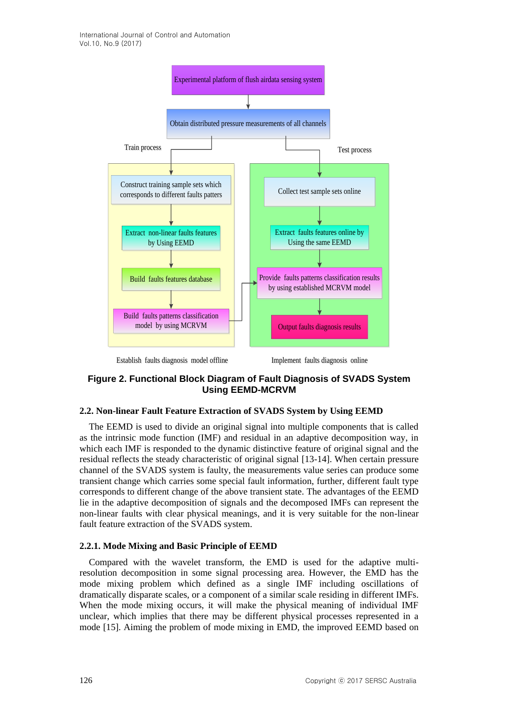

### **Figure 2. Functional Block Diagram of Fault Diagnosis of SVADS System Using EEMD-MCRVM**

## **2.2. Non-linear Fault Feature Extraction of SVADS System by Using EEMD**

The EEMD is used to divide an original signal into multiple components that is called as the intrinsic mode function (IMF) and residual in an adaptive decomposition way, in which each IMF is responded to the dynamic distinctive feature of original signal and the residual reflects the steady characteristic of original signal [13-14]. When certain pressure channel of the SVADS system is faulty, the measurements value series can produce some transient change which carries some special fault information, further, different fault type corresponds to different change of the above transient state. The advantages of the EEMD lie in the adaptive decomposition of signals and the decomposed IMFs can represent the non-linear faults with clear physical meanings, and it is very suitable for the non-linear fault feature extraction of the SVADS system.

### **2.2.1. Mode Mixing and Basic Principle of EEMD**

Compared with the wavelet transform, the EMD is used for the adaptive multiresolution decomposition in some signal processing area. However, the EMD has the mode mixing problem which defined as a single IMF including oscillations of dramatically disparate scales, or a component of a similar scale residing in different IMFs. When the mode mixing occurs, it will make the physical meaning of individual IMF unclear, which implies that there may be different physical processes represented in a mode [15]. Aiming the problem of mode mixing in EMD, the improved EEMD based on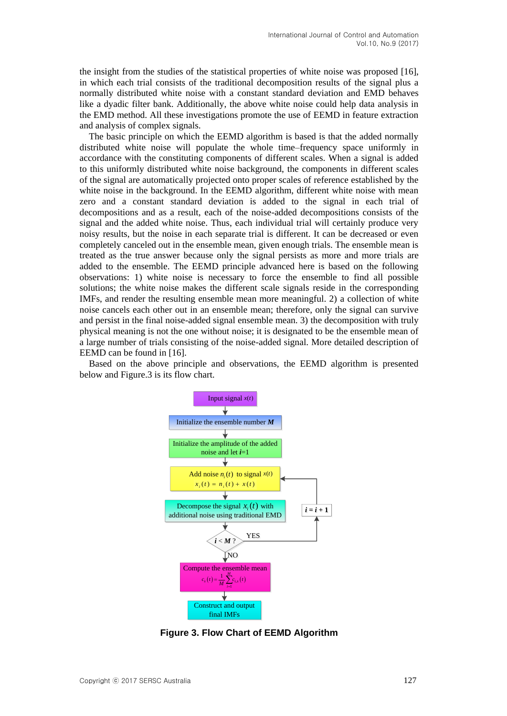the insight from the studies of the statistical properties of white noise was proposed [16], in which each trial consists of the traditional decomposition results of the signal plus a normally distributed white noise with a constant standard deviation and EMD behaves like a dyadic filter bank. Additionally, the above white noise could help data analysis in the EMD method. All these investigations promote the use of EEMD in feature extraction and analysis of complex signals.

The basic principle on which the EEMD algorithm is based is that the added normally distributed white noise will populate the whole time–frequency space uniformly in accordance with the constituting components of different scales. When a signal is added to this uniformly distributed white noise background, the components in different scales of the signal are automatically projected onto proper scales of reference established by the white noise in the background. In the EEMD algorithm, different white noise with mean zero and a constant standard deviation is added to the signal in each trial of decompositions and as a result, each of the noise-added decompositions consists of the signal and the added white noise. Thus, each individual trial will certainly produce very noisy results, but the noise in each separate trial is different. It can be decreased or even completely canceled out in the ensemble mean, given enough trials. The ensemble mean is treated as the true answer because only the signal persists as more and more trials are added to the ensemble. The EEMD principle advanced here is based on the following observations: 1) white noise is necessary to force the ensemble to find all possible solutions; the white noise makes the different scale signals reside in the corresponding IMFs, and render the resulting ensemble mean more meaningful. 2) a collection of white noise cancels each other out in an ensemble mean; therefore, only the signal can survive and persist in the final noise-added signal ensemble mean. 3) the decomposition with truly physical meaning is not the one without noise; it is designated to be the ensemble mean of a large number of trials consisting of the noise-added signal. More detailed description of EEMD can be found in [16].

Based on the above principle and observations, the EEMD algorithm is presented below and Figure.3 is its flow chart.



**Figure 3. Flow Chart of EEMD Algorithm**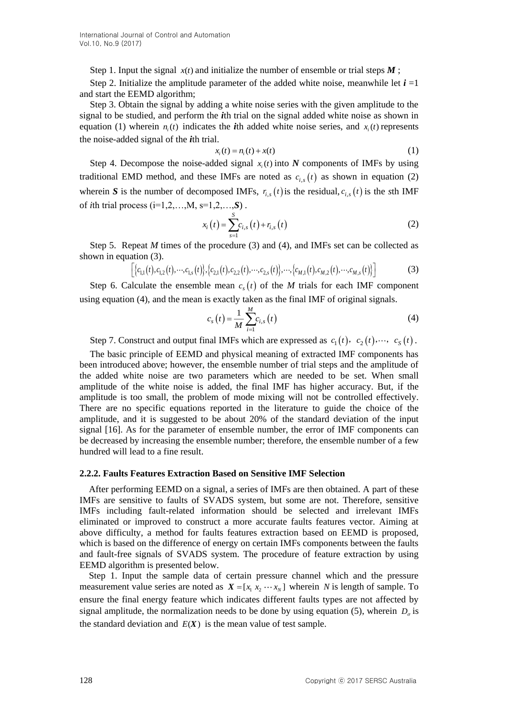Step 1. Input the signal  $x(t)$  and initialize the number of ensemble or trial steps  $M$ ;

Step 2. Initialize the amplitude parameter of the added white noise, meanwhile let  $\mathbf{i} = 1$ and start the EEMD algorithm;

Step 3. Obtain the signal by adding a white noise series with the given amplitude to the signal to be studied, and perform the *i*th trial on the signal added white noise as shown in equation (1) wherein  $n_i(t)$  indicates the *i*th added white noise series, and  $x_i(t)$  represents the noise-added signal of the *i*th trial.

$$
x_i(t) = n_i(t) + x(t) \tag{1}
$$

Step 4. Decompose the noise-added signal  $x_i(t)$  into N components of IMFs by using traditional EMD method, and these IMFs are noted as  $c_{i,s}(t)$  as shown in equation (2) wherein *S* is the number of decomposed IMFs,  $r_{i,s}(t)$  is the residual,  $c_{i,s}(t)$  is the *s*th IMF of *i*th trial process (i=1,2,…,M, s=1,2,…,*S*) .

$$
x_i(t) = \sum_{s=1}^{S} c_{i,s}(t) + r_{i,s}(t)
$$
 (2)

Step 5. Repeat *M* times of the procedure (3) and (4), and IMFs set can be collected as shown in equation (3).

$$
\left[\left\{c_{1,1}(t), c_{1,2}(t), \cdots, c_{1,s}(t)\right\}, \left\{c_{2,1}(t), c_{2,2}(t), \cdots, c_{2,s}(t)\right\}, \cdots, \left\{c_{M,1}(t), c_{M,2}(t), \cdots, c_{M,s}(t)\right\}\right]
$$
(3)

Step 6. Calculate the ensemble mean  $c<sub>s</sub>(t)$  of the *M* trials for each IMF component using equation (4), and the mean is exactly taken as the final IMF of original signals.

$$
c_{s}(t) = \frac{1}{M} \sum_{i=1}^{M} c_{i,s}(t)
$$
 (4)

Step 7. Construct and output final IMFs which are expressed as  $c_1(t)$ ,  $c_2(t)$ ,  $\cdots$ ,  $c_s(t)$ .

The basic principle of EEMD and physical meaning of extracted IMF components has been introduced above; however, the ensemble number of trial steps and the amplitude of the added white noise are two parameters which are needed to be set. When small amplitude of the white noise is added, the final IMF has higher accuracy. But, if the amplitude is too small, the problem of mode mixing will not be controlled effectively. There are no specific equations reported in the literature to guide the choice of the amplitude, and it is suggested to be about 20% of the standard deviation of the input signal [16]. As for the parameter of ensemble number, the error of IMF components can be decreased by increasing the ensemble number; therefore, the ensemble number of a few hundred will lead to a fine result.

#### **2.2.2. Faults Features Extraction Based on Sensitive IMF Selection**

After performing EEMD on a signal, a series of IMFs are then obtained. A part of these IMFs are sensitive to faults of SVADS system, but some are not. Therefore, sensitive IMFs including fault-related information should be selected and irrelevant IMFs eliminated or improved to construct a more accurate faults features vector. Aiming at above difficulty, a method for faults features extraction based on EEMD is proposed, which is based on the difference of energy on certain IMFs components between the faults and fault-free signals of SVADS system. The procedure of feature extraction by using EEMD algorithm is presented below.

Step 1. Input the sample data of certain pressure channel which and the pressure measurement value series are noted as  $X = [x_1 x_2 \cdots x_N]$  wherein N is length of sample. To ensure the final energy feature which indicates different faults types are not affected by signal amplitude, the normalization needs to be done by using equation (5), wherein  $D_{\sigma}$  is the standard deviation and  $E(X)$  is the mean value of test sample.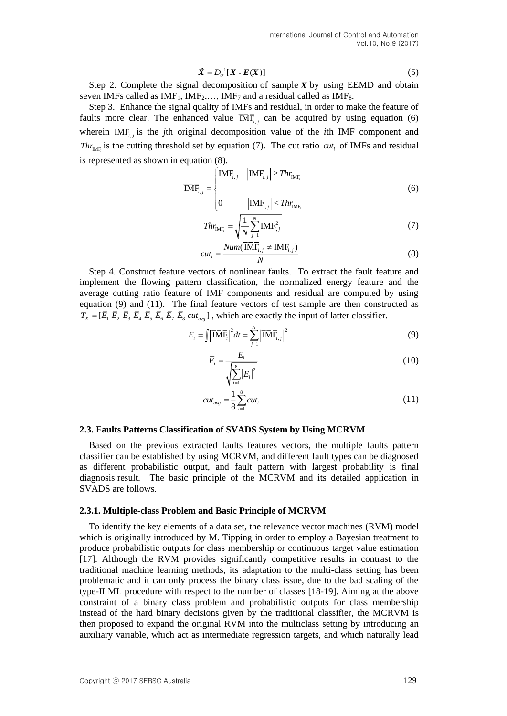$$
\tilde{X} = D_{\sigma}^{-1}[X \cdot E(X)] \tag{5}
$$

Step 2. Complete the signal decomposition of sample  $X$  by using EEMD and obtain seven IMFs called as  $IMF_1$ ,  $IMF_2$ ,...,  $IMF_7$  and a residual called as  $IMF_8$ .

Step 3. Enhance the signal quality of IMFs and residual, in order to make the feature of faults more clear. The enhanced value  $\overline{IMF}_{i,j}$  can be acquired by using equation (6) wherein  $IMF<sub>i,j</sub>$  is the *j*th original decomposition value of the *i*th IMF component and  $Thr_{IMF_i}$  is the cutting threshold set by equation (7). The cut ratio  $cut_i$  of IMFs and residual is represented as shown in equation (8).

$$
\overline{\text{IMF}}_{i,j} = \begin{cases} \text{IMF}_{i,j} & \left| \text{IMF}_{i,j} \right| \geq \text{Thr}_{\text{IMF}_i} \\ 0 & \left| \text{IMF}_{i,j} \right| < \text{Thr}_{\text{IMF}_i} \end{cases} \tag{6}
$$

$$
Thr_{IMF_i} = \sqrt{\frac{1}{N} \sum_{j=1}^{N} IMF_{i,j}^2}
$$
 (7)

$$
cut_i = \frac{Num(\overline{IMF}_{i,j} \neq IMF_{i,j})}{N}
$$
\n(8)

Step 4. Construct feature vectors of nonlinear faults. To extract the fault feature and implement the flowing pattern classification, the normalized energy feature and the average cutting ratio feature of IMF components and residual are computed by using equation (9) and (11). The final feature vectors of test sample are then constructed as  $T_x = [\bar{E}_1 \ \bar{E}_2 \ \bar{E}_3 \ \bar{E}_4 \ \bar{E}_5 \ \bar{E}_6 \ \bar{E}_7 \ \bar{E}_8 \ cut_{avg}]$ , which are exactly the input of latter classifier.

$$
E_i = \int \left| \overline{\text{IMF}}_i \right|^2 dt = \sum_{j=1}^N \left| \overline{\text{IMF}}_{i,j} \right|^2 \tag{9}
$$

$$
\overline{E}_{i} = \frac{E_{i}}{\sqrt{\sum_{i=1}^{8} |E_{i}|^{2}}}
$$
(10)

$$
cut_{avg} = \frac{1}{8} \sum_{i=1}^{8} cut_i
$$
 (11)

#### **2.3. Faults Patterns Classification of SVADS System by Using MCRVM**

Based on the previous extracted faults features vectors, the multiple faults pattern classifier can be established by using MCRVM, and different fault types can be diagnosed as different probabilistic output, and fault pattern with largest probability is final diagnosis result. The basic principle of the MCRVM and its detailed application in SVADS are follows.

#### **2.3.1. Multiple-class Problem and Basic Principle of MCRVM**

Step 2. Complete the *signal dccmposition* of sample **X** 1*p* using FFMD and chisinese several MFs called as NMF<sub>s</sub>. MK<sub>2</sub> ... (MFs and scalinal called as MFs. (MFs and scalinal called as MFs. (MFs and scalinal called as To identify the key elements of a data set, the relevance vector machines (RVM) model which is originally introduced by M. Tipping in order to employ a Bayesian treatment to produce probabilistic outputs for class membership or continuous target value estimation [17]. Although the RVM provides significantly competitive results in contrast to the traditional machine learning methods, its adaptation to the multi-class setting has been problematic and it can only process the binary class issue, due to the bad scaling of the type-II ML procedure with respect to the number of classes [18-19]. Aiming at the above constraint of a binary class problem and probabilistic outputs for class membership instead of the hard binary decisions given by the traditional classifier, the MCRVM is then proposed to expand the original RVM into the multiclass setting by introducing an auxiliary variable, which act as intermediate regression targets, and which naturally lead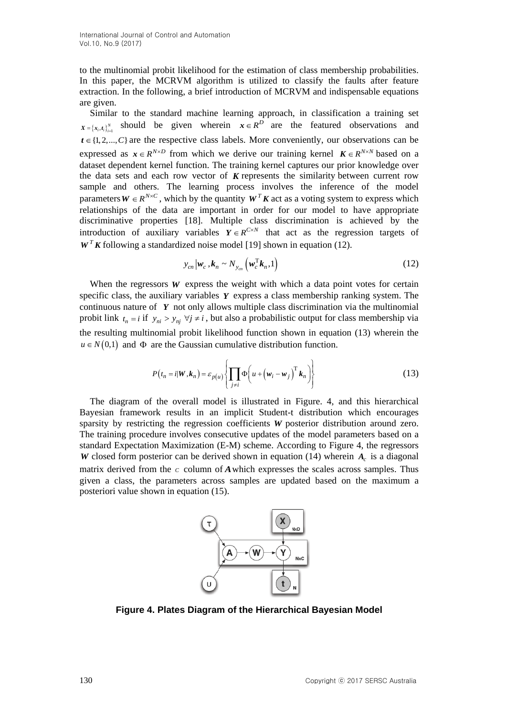to the multinomial probit likelihood for the estimation of class membership probabilities. In this paper, the MCRVM algorithm is utilized to classify the faults after feature extraction. In the following, a brief introduction of MCRVM and indispensable equations are given.

Similar to the standard machine learning approach, in classification a training set  $X = \{x_i, t_i\}_{i=1}^N$  should be given wherein  $x \in R^D$  are the featured observations and  $t \in \{1, 2, ..., C\}$  are the respective class labels. More conveniently, our observations can be expressed as  $x \in R^{N \times D}$  from which we derive our training kernel  $K \in R^{N \times N}$  based on a dataset dependent kernel function. The training kernel captures our prior knowledge over the data sets and each row vector of  $K$  represents the similarity between current row sample and others. The learning process involves the inference of the model parameters  $W \in R^{N \times C}$ , which by the quantity  $W^{T}K$  act as a voting system to express which relationships of the data are important in order for our model to have appropriate discriminative properties [18]. Multiple class discrimination is achieved by the introduction of auxiliary variables  $Y \in R^{C \times N}$  that act as the regression targets of  $W<sup>T</sup>K$  following a standardized noise model [19] shown in equation (12).

$$
y_{cn}|\boldsymbol{w}_c, \boldsymbol{k}_n \sim N_{y_{cn}}\left(\boldsymbol{w}_c^{\mathrm{T}}\boldsymbol{k}_n, 1\right) \tag{12}
$$

When the regressors  $W$  express the weight with which a data point votes for certain specific class, the auxiliary variables *Y* express a class membership ranking system. The continuous nature of *Y* not only allows multiple class discrimination via the multinomial probit link  $t_n = i$  if  $y_{ni} > y_{nj}$   $\forall j \neq i$ , but also a probabilistic output for class membership via the resulting multinomial probit likelihood function shown in equation (13) wherein the  $u \in N(0,1)$  and  $\Phi$  are the Gaussian cumulative distribution function.

$$
P(t_n = i | \mathbf{W}, \mathbf{k}_n) = \varepsilon_{p(u)} \left\{ \prod_{j \neq i} \Phi \left( u + \left( \mathbf{w}_i - \mathbf{w}_j \right)^{\mathrm{T}} \mathbf{k}_n \right) \right\} \tag{13}
$$

The diagram of the overall model is illustrated in Figure. 4, and this hierarchical Bayesian framework results in an implicit Student-t distribution which encourages sparsity by restricting the regression coefficients *W* posterior distribution around zero. The training procedure involves consecutive updates of the model parameters based on a standard Expectation Maximization (E-M) scheme. According to Figure 4, the regressors *W* closed form posterior can be derived shown in equation (14) wherein  $A_c$  is a diagonal matrix derived from the  $c$  column of  $\boldsymbol{A}$  which expresses the scales across samples. Thus given a class, the parameters across samples are updated based on the maximum a posteriori value shown in equation (15).



**Figure 4. Plates Diagram of the Hierarchical Bayesian Model**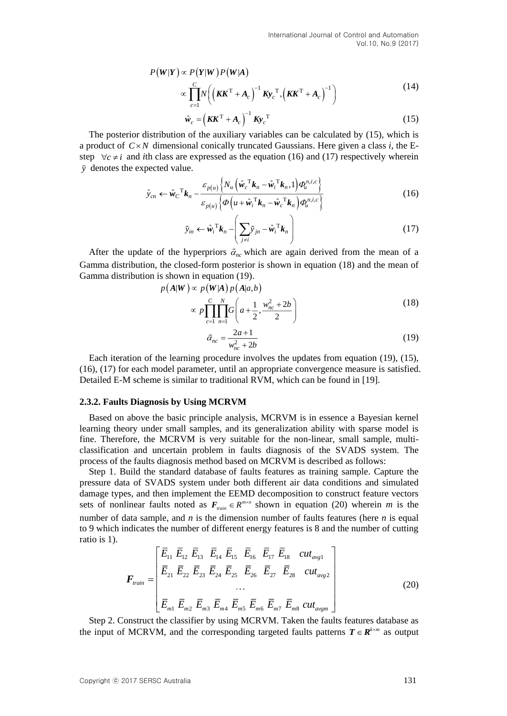$$
P(W|Y) \propto P(Y|W)P(W|A)
$$
  
\n
$$
\propto \prod_{c=1}^{C} N\left(\left(KK^{T} + A_{c}\right)^{-1}Ky_{c}^{T}, \left(KK^{T} + A_{c}\right)^{-1}\right)
$$
\n(14)

$$
\hat{\boldsymbol{w}}_c = \left(\boldsymbol{K}\boldsymbol{K}^{\mathrm{T}} + \boldsymbol{A}_c\right)^{-1} \boldsymbol{K} \boldsymbol{y}_c^{\mathrm{T}}
$$
\n(15)

The posterior distribution of the auxiliary variables can be calculated by (15), which is a product of  $C \times N$  dimensional conically truncated Gaussians. Here given a class *i*, the Estep  $\forall c \neq i$  and *i*th class are expressed as the equation (16) and (17) respectively wherein *y* denotes the expected value.

$$
\hat{y}_{cn} \leftarrow \hat{\boldsymbol{w}}_C^{\mathrm{T}} \boldsymbol{k}_n - \frac{\varepsilon_{p(u)} \left\{ N_u \left( \hat{\boldsymbol{w}}_c^{\mathrm{T}} \boldsymbol{k}_n - \hat{\boldsymbol{w}}_i^{\mathrm{T}} \boldsymbol{k}_n, 1 \right) \boldsymbol{\varphi}_u^{n,i,c} \right\}}{\varepsilon_{p(u)} \left\{ \boldsymbol{\varphi} \left( u + \hat{\boldsymbol{w}}_i^{\mathrm{T}} \boldsymbol{k}_n - \hat{\boldsymbol{w}}_c^{\mathrm{T}} \boldsymbol{k}_n \right) \boldsymbol{\varphi}_u^{n,i,c} \right\}}
$$
(16)

$$
\tilde{\mathbf{y}}_{in} \leftarrow \hat{\boldsymbol{w}}_i^{\mathrm{T}} \boldsymbol{k}_n - \left(\sum_{j \neq i} \tilde{\mathbf{y}}_{jn} - \hat{\boldsymbol{w}}_i^{\mathrm{T}} \boldsymbol{k}_n\right)
$$
\n(17)

After the update of the hyperpriors  $\tilde{\alpha}_{nc}$  which are again derived from the mean of a Gamma distribution, the closed-form posterior is shown in equation (18) and the mean of Gamma distribution is shown in equation (19).<br> $p(A|W) \propto p(W|A) p(A|a,b)$ 

$$
p(A|W) \propto p(W|A) p(A|a,b)
$$
  
 
$$
\propto p \prod_{c=1}^{C} \prod_{n=1}^{N} G\left(a + \frac{1}{2}, \frac{w_{nc}^2 + 2b}{2}\right)
$$
 (18)

$$
\tilde{\alpha}_{nc} = \frac{2a+1}{w_{nc}^2 + 2b} \tag{19}
$$

Each iteration of the learning procedure involves the updates from equation (19), (15), (16), (17) for each model parameter, until an appropriate convergence measure is satisfied. Detailed E-M scheme is similar to traditional RVM, which can be found in [19].

#### **2.3.2. Faults Diagnosis by Using MCRVM**

Based on above the basic principle analysis, MCRVM is in essence a Bayesian kernel learning theory under small samples, and its generalization ability with sparse model is fine. Therefore, the MCRVM is very suitable for the non-linear, small sample, multiclassification and uncertain problem in faults diagnosis of the SVADS system. The process of the faults diagnosis method based on MCRVM is described as follows:

Step 1. Build the standard database of faults features as training sample. Capture the pressure data of SVADS system under both different air data conditions and simulated damage types, and then implement the EEMD decomposition to construct feature vectors sets of nonlinear faults noted as  $F_{\text{main}} \in R^{\text{max}}$  shown in equation (20) wherein *m* is the number of data sample, and *n* is the dimension number of faults features (here *n* is equal to 9 which indicates the number of different energy features is 8 and the number of cutting ratio is 1).

$$
\boldsymbol{F}_{\text{train}} = \begin{bmatrix} \overline{E}_{11} & \overline{E}_{12} & \overline{E}_{13} & \overline{E}_{14} & \overline{E}_{15} & \overline{E}_{16} & \overline{E}_{17} & \overline{E}_{18} & cut_{avg1} \\ \overline{E}_{21} & \overline{E}_{22} & \overline{E}_{23} & \overline{E}_{24} & \overline{E}_{25} & \overline{E}_{26} & \overline{E}_{27} & \overline{E}_{28} & cut_{avg2} \\ \cdots & \cdots & \cdots & \cdots & \vdots \\ \overline{E}_{m1} & \overline{E}_{m2} & \overline{E}_{m3} & \overline{E}_{m4} & \overline{E}_{m5} & \overline{E}_{m6} & \overline{E}_{m7} & \overline{E}_{m8} & cut_{avgm} \end{bmatrix}
$$
(20)

Step 2. Construct the classifier by using MCRVM. Taken the faults features database as the input of MCRVM, and the corresponding targeted faults patterns  $\mathbf{T} \in \mathbb{R}^{k \times m}$  as output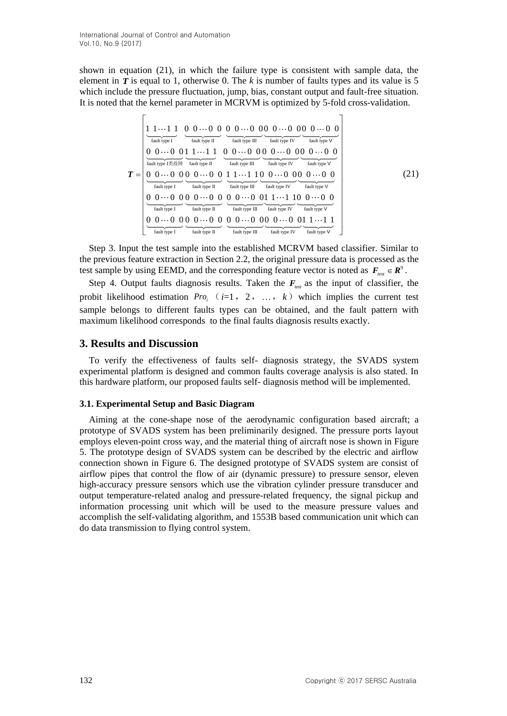shown in equation (21), in which the failure type is consistent with sample data, the element in  $T$  is equal to 1, otherwise 0. The  $k$  is number of faults types and its value is 5 which include the pressure fluctuation, jump, bias, constant output and fault-free situation. It is noted that the kernel parameter in MCRVM is optimized by 5-fold cross-validation.



Step 3. Input the test sample into the established MCRVM based classifier. Similar to the previous feature extraction in Section 2.2, the original pressure data is processed as the test sample by using EEMD, and the corresponding feature vector is noted as  $F_{\text{test}} \in \mathbb{R}^9$ .

Step 4. Output faults diagnosis results. Taken the  $F_{\text{test}}$  as the input of classifier, the probit likelihood estimation  $Pro_i$  ( $i=1, 2, ..., k$ ) which implies the current test sample belongs to different faults types can be obtained, and the fault pattern with maximum likelihood corresponds to the final faults diagnosis results exactly.

## **3. Results and Discussion**

To verify the effectiveness of faults self- diagnosis strategy, the SVADS system experimental platform is designed and common faults coverage analysis is also stated. In this hardware platform, our proposed faults self- diagnosis method will be implemented.

### **3.1. Experimental Setup and Basic Diagram**

Aiming at the cone-shape nose of the aerodynamic configuration based aircraft; a prototype of SVADS system has been preliminarily designed. The pressure ports layout employs eleven-point cross way, and the material thing of aircraft nose is shown in Figure 5. The prototype design of SVADS system can be described by the electric and airflow connection shown in Figure 6. The designed prototype of SVADS system are consist of airflow pipes that control the flow of air (dynamic pressure) to pressure sensor, eleven high-accuracy pressure sensors which use the vibration cylinder pressure transducer and output temperature-related analog and pressure-related frequency, the signal pickup and information processing unit which will be used to the measure pressure values and accomplish the self-validating algorithm, and 1553B based communication unit which can do data transmission to flying control system.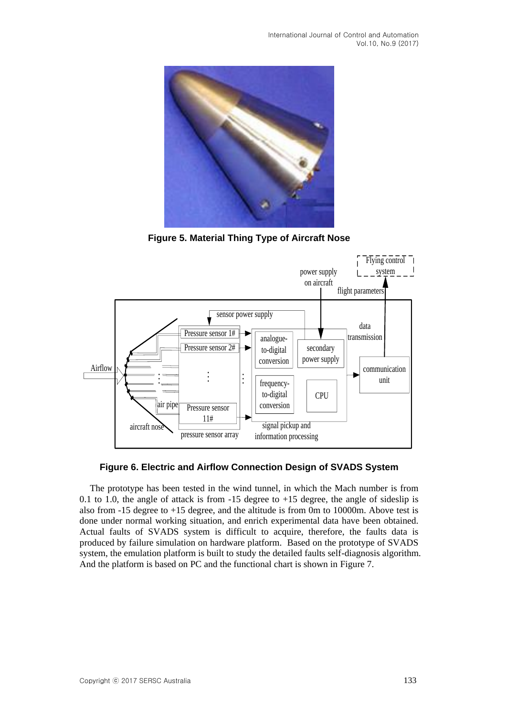International Journal of Control and Automation Vol.10, No.9 (2017)



**Figure 5. Material Thing Type of Aircraft Nose**



**Figure 6. Electric and Airflow Connection Design of SVADS System**

The prototype has been tested in the wind tunnel, in which the Mach number is from 0.1 to 1.0, the angle of attack is from  $-15$  degree to  $+15$  degree, the angle of sideslip is also from -15 degree to +15 degree, and the altitude is from 0m to 10000m. Above test is done under normal working situation, and enrich experimental data have been obtained. Actual faults of SVADS system is difficult to acquire, therefore, the faults data is produced by failure simulation on hardware platform. Based on the prototype of SVADS system, the emulation platform is built to study the detailed faults self-diagnosis algorithm. And the platform is based on PC and the functional chart is shown in Figure 7.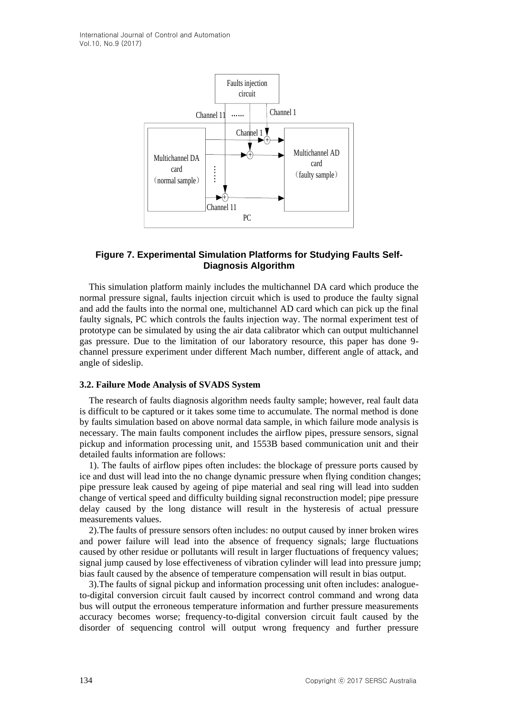

## **Figure 7. Experimental Simulation Platforms for Studying Faults Self-Diagnosis Algorithm**

This simulation platform mainly includes the multichannel DA card which produce the normal pressure signal, faults injection circuit which is used to produce the faulty signal and add the faults into the normal one, multichannel AD card which can pick up the final faulty signals, PC which controls the faults injection way. The normal experiment test of prototype can be simulated by using the air data calibrator which can output multichannel gas pressure. Due to the limitation of our laboratory resource, this paper has done 9 channel pressure experiment under different Mach number, different angle of attack, and angle of sideslip.

### **3.2. Failure Mode Analysis of SVADS System**

The research of faults diagnosis algorithm needs faulty sample; however, real fault data is difficult to be captured or it takes some time to accumulate. The normal method is done by faults simulation based on above normal data sample, in which failure mode analysis is necessary. The main faults component includes the airflow pipes, pressure sensors, signal pickup and information processing unit, and 1553B based communication unit and their detailed faults information are follows:

1). The faults of airflow pipes often includes: the blockage of pressure ports caused by ice and dust will lead into the no change dynamic pressure when flying condition changes; pipe pressure leak caused by ageing of pipe material and seal ring will lead into sudden change of vertical speed and difficulty building signal reconstruction model; pipe pressure delay caused by the long distance will result in the hysteresis of actual pressure measurements values.

2).The faults of pressure sensors often includes: no output caused by inner broken wires and power failure will lead into the absence of frequency signals; large fluctuations caused by other residue or pollutants will result in larger fluctuations of frequency values; signal jump caused by lose effectiveness of vibration cylinder will lead into pressure jump; bias fault caused by the absence of temperature compensation will result in bias output.

3).The faults of signal pickup and information processing unit often includes: analogueto-digital conversion circuit fault caused by incorrect control command and wrong data bus will output the erroneous temperature information and further pressure measurements accuracy becomes worse; frequency-to-digital conversion circuit fault caused by the disorder of sequencing control will output wrong frequency and further pressure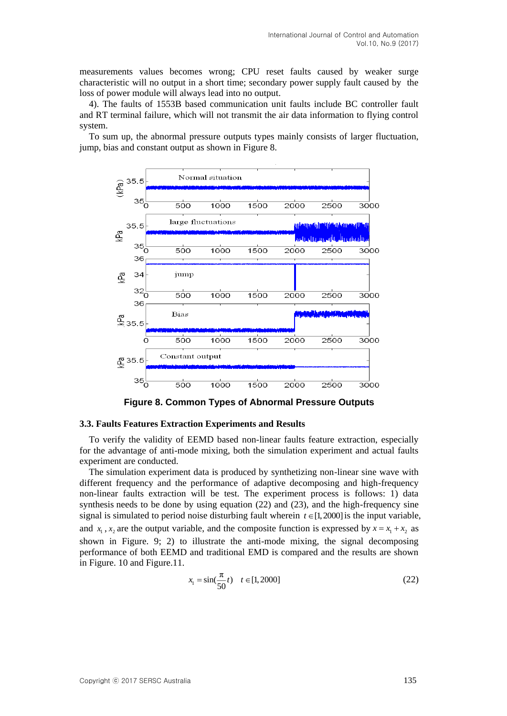measurements values becomes wrong; CPU reset faults caused by weaker surge characteristic will no output in a short time; secondary power supply fault caused by the loss of power module will always lead into no output.

4). The faults of 1553B based communication unit faults include BC controller fault and RT terminal failure, which will not transmit the air data information to flying control system.

To sum up, the abnormal pressure outputs types mainly consists of larger fluctuation, jump, bias and constant output as shown in Figure 8.



**Figure 8. Common Types of Abnormal Pressure Outputs**

#### **3.3. Faults Features Extraction Experiments and Results**

To verify the validity of EEMD based non-linear faults feature extraction, especially for the advantage of anti-mode mixing, both the simulation experiment and actual faults experiment are conducted.

The simulation experiment data is produced by synthetizing non-linear sine wave with different frequency and the performance of adaptive decomposing and high-frequency non-linear faults extraction will be test. The experiment process is follows: 1) data synthesis needs to be done by using equation (22) and (23), and the high-frequency sine signal is simulated to period noise disturbing fault wherein  $t \in [1,2000]$  is the input variable, and  $x_1$ ,  $x_2$  are the output variable, and the composite function is expressed by  $x = x_1 + x_2$  as shown in Figure. 9; 2) to illustrate the anti-mode mixing, the signal decomposing performance of both EEMD and traditional EMD is compared and the results are shown in Figure. 10 and Figure.11.

$$
x_1 = \sin(\frac{\pi}{50}t) \quad t \in [1, 2000]
$$
 (22)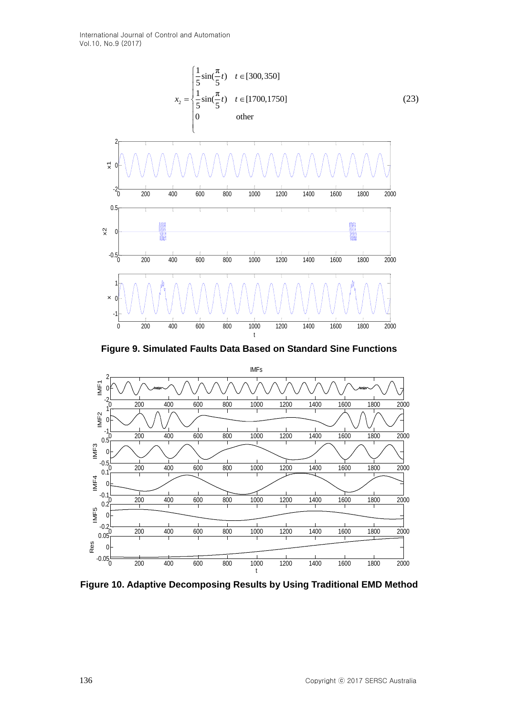International Journal of Control and Automation Vol.10, No.9 (2017)



**Figure 9. Simulated Faults Data Based on Standard Sine Functions** 



**Figure 10. Adaptive Decomposing Results by Using Traditional EMD Method**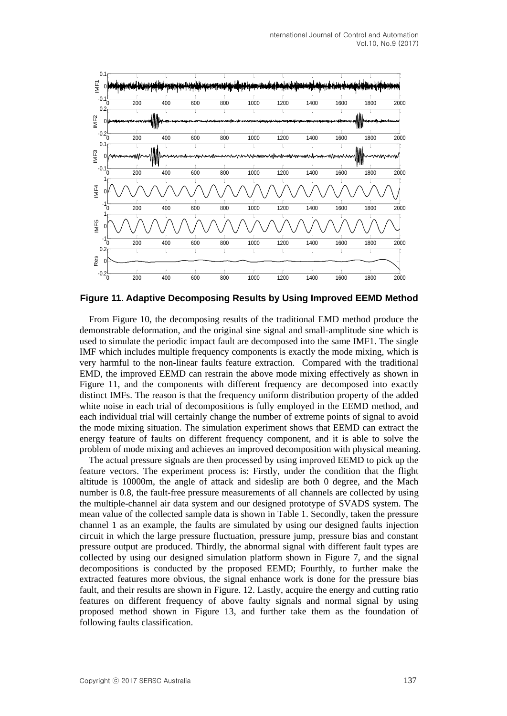

**Figure 11. Adaptive Decomposing Results by Using Improved EEMD Method**

From Figure 10, the decomposing results of the traditional EMD method produce the demonstrable deformation, and the original sine signal and small-amplitude sine which is used to simulate the periodic impact fault are decomposed into the same IMF1. The single IMF which includes multiple frequency components is exactly the mode mixing, which is very harmful to the non-linear faults feature extraction. Compared with the traditional EMD, the improved EEMD can restrain the above mode mixing effectively as shown in Figure 11, and the components with different frequency are decomposed into exactly distinct IMFs. The reason is that the frequency uniform distribution property of the added white noise in each trial of decompositions is fully employed in the EEMD method, and each individual trial will certainly change the number of extreme points of signal to avoid the mode mixing situation. The simulation experiment shows that EEMD can extract the energy feature of faults on different frequency component, and it is able to solve the problem of mode mixing and achieves an improved decomposition with physical meaning.

The actual pressure signals are then processed by using improved EEMD to pick up the feature vectors. The experiment process is: Firstly, under the condition that the flight altitude is 10000m, the angle of attack and sideslip are both 0 degree, and the Mach number is 0.8, the fault-free pressure measurements of all channels are collected by using the multiple-channel air data system and our designed prototype of SVADS system. The mean value of the collected sample data is shown in Table 1. Secondly, taken the pressure channel 1 as an example, the faults are simulated by using our designed faults injection circuit in which the large pressure fluctuation, pressure jump, pressure bias and constant pressure output are produced. Thirdly, the abnormal signal with different fault types are collected by using our designed simulation platform shown in Figure 7, and the signal decompositions is conducted by the proposed EEMD; Fourthly, to further make the extracted features more obvious, the signal enhance work is done for the pressure bias fault, and their results are shown in Figure. 12. Lastly, acquire the energy and cutting ratio features on different frequency of above faulty signals and normal signal by using proposed method shown in Figure 13, and further take them as the foundation of following faults classification.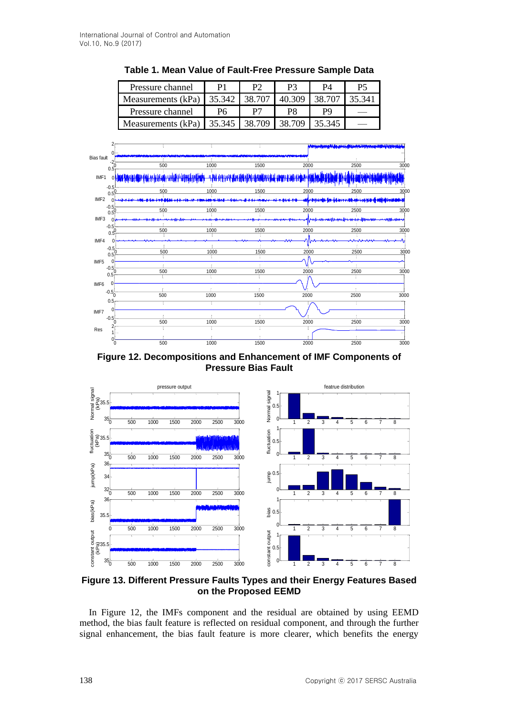| Pressure channel                               | D1 | DΣ                   | P3 | PΔ     | P5     |
|------------------------------------------------|----|----------------------|----|--------|--------|
| Measurements (kPa) 35.342 38.707 40.309 38.707 |    |                      |    |        | 35.341 |
| Pressure channel                               | P6 |                      | P8 | DΟ     |        |
| Measurements (kPa)                             |    | 35.345 38.709 38.709 |    | 35.345 |        |

**Table 1. Mean Value of Fault-Free Pressure Sample Data**



**Figure 12. Decompositions and Enhancement of IMF Components of Pressure Bias Fault**



**Figure 13. Different Pressure Faults Types and their Energy Features Based on the Proposed EEMD**

In Figure 12, the IMFs component and the residual are obtained by using EEMD method, the bias fault feature is reflected on residual component, and through the further signal enhancement, the bias fault feature is more clearer, which benefits the energy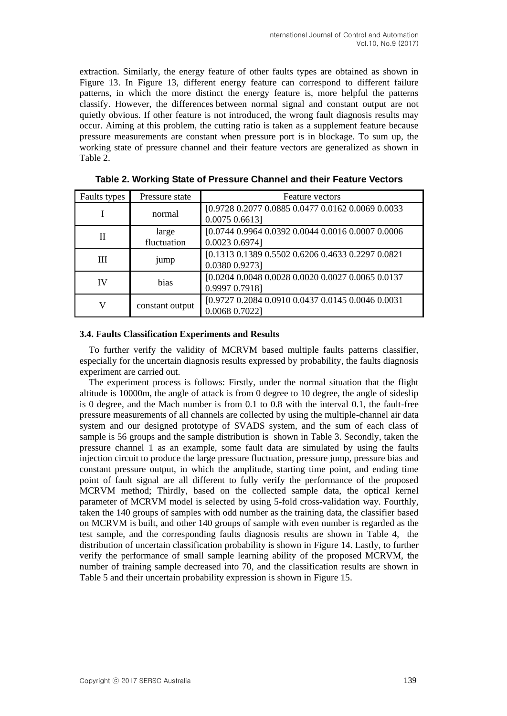extraction. Similarly, the energy feature of other faults types are obtained as shown in Figure 13. In Figure 13, different energy feature can correspond to different failure patterns, in which the more distinct the energy feature is, more helpful the patterns classify. However, the differences between normal signal and constant output are not quietly obvious. If other feature is not introduced, the wrong fault diagnosis results may occur. Aiming at this problem, the cutting ratio is taken as a supplement feature because pressure measurements are constant when pressure port is in blockage. To sum up, the working state of pressure channel and their feature vectors are generalized as shown in Table 2.

| Faults types | Pressure state       | Feature vectors                                                       |  |  |
|--------------|----------------------|-----------------------------------------------------------------------|--|--|
|              | normal               | [0.9728 0.2077 0.0885 0.0477 0.0162 0.0069 0.0033<br>$0.0075$ 0.6613] |  |  |
| H            | large<br>fluctuation | [0.0744 0.9964 0.0392 0.0044 0.0016 0.0007 0.0006<br>$0.0023$ 0.6974] |  |  |
| Ш            | jump                 | [0.1313 0.1389 0.5502 0.6206 0.4633 0.2297 0.0821<br>0.0380 0.9273]   |  |  |
| IV           | bias                 | [0.0204 0.0048 0.0028 0.0020 0.0027 0.0065 0.0137<br>0.9997 0.7918]   |  |  |
| V            | constant output      | [0.9727 0.2084 0.0910 0.0437 0.0145 0.0046 0.0031<br>0.0068 0.70221   |  |  |

|  | Table 2. Working State of Pressure Channel and their Feature Vectors |  |  |
|--|----------------------------------------------------------------------|--|--|
|  |                                                                      |  |  |

### **3.4. Faults Classification Experiments and Results**

To further verify the validity of MCRVM based multiple faults patterns classifier, especially for the uncertain diagnosis results expressed by probability, the faults diagnosis experiment are carried out.

The experiment process is follows: Firstly, under the normal situation that the flight altitude is 10000m, the angle of attack is from 0 degree to 10 degree, the angle of sideslip is 0 degree, and the Mach number is from 0.1 to 0.8 with the interval 0.1, the fault-free pressure measurements of all channels are collected by using the multiple-channel air data system and our designed prototype of SVADS system, and the sum of each class of sample is 56 groups and the sample distribution is shown in Table 3. Secondly, taken the pressure channel 1 as an example, some fault data are simulated by using the faults injection circuit to produce the large pressure fluctuation, pressure jump, pressure bias and constant pressure output, in which the amplitude, starting time point, and ending time point of fault signal are all different to fully verify the performance of the proposed MCRVM method; Thirdly, based on the collected sample data, the optical kernel parameter of MCRVM model is selected by using 5-fold cross-validation way. Fourthly, taken the 140 groups of samples with odd number as the training data, the classifier based on MCRVM is built, and other 140 groups of sample with even number is regarded as the test sample, and the corresponding faults diagnosis results are shown in Table 4, the distribution of uncertain classification probability is shown in Figure 14. Lastly, to further verify the performance of small sample learning ability of the proposed MCRVM, the number of training sample decreased into 70, and the classification results are shown in Table 5 and their uncertain probability expression is shown in Figure 15.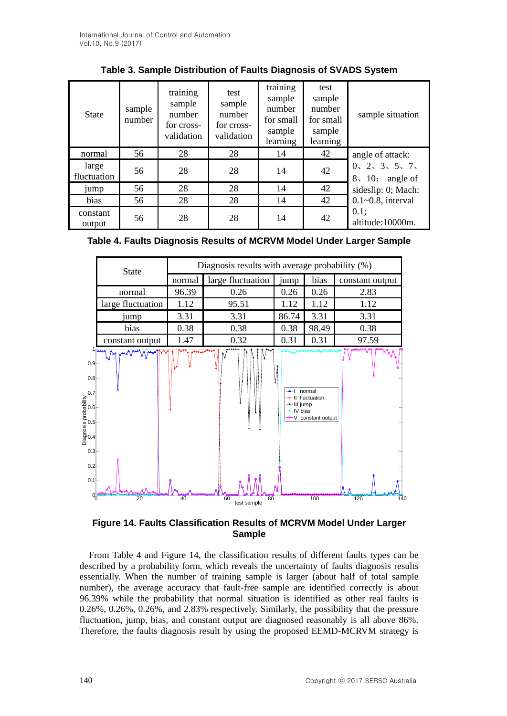| <b>State</b>         | sample<br>number | training<br>sample<br>number<br>for cross-<br>validation | test<br>sample<br>number<br>for cross-<br>validation | training<br>sample<br>number<br>for small<br>sample<br>learning | test<br>sample<br>number<br>for small<br>sample<br>learning | sample situation                          |
|----------------------|------------------|----------------------------------------------------------|------------------------------------------------------|-----------------------------------------------------------------|-------------------------------------------------------------|-------------------------------------------|
| normal               | 56               | 28                                                       | 28                                                   | 14                                                              | 42                                                          | angle of attack:                          |
| large<br>fluctuation | 56               | 28                                                       | 28                                                   | 14                                                              | 42                                                          | 0, 2, 3, 5, 7,<br>$8\sqrt{10}$ ; angle of |
| <sub>1</sub> ump     | 56               | 28                                                       | 28                                                   | 14                                                              | 42                                                          | sideslip: 0; Mach:                        |
| bias                 | 56               | 28                                                       | 28                                                   | 14                                                              | 42                                                          | $0.1 - 0.8$ , interval                    |
| constant<br>output   | 56               | 28                                                       | 28                                                   | 14                                                              | 42                                                          | $0.1$ :<br>altitude:10000m.               |

**Table 3. Sample Distribution of Faults Diagnosis of SVADS System**





**Figure 14. Faults Classification Results of MCRVM Model Under Larger Sample**

From Table 4 and Figure 14, the classification results of different faults types can be described by a probability form, which reveals the uncertainty of faults diagnosis results essentially. When the number of training sample is larger (about half of total sample number), the average accuracy that fault-free sample are identified correctly is about 96.39% while the probability that normal situation is identified as other real faults is 0.26%, 0.26%, 0.26%, and 2.83% respectively. Similarly, the possibility that the pressure fluctuation, jump, bias, and constant output are diagnosed reasonably is all above 86%. Therefore, the faults diagnosis result by using the proposed EEMD-MCRVM strategy is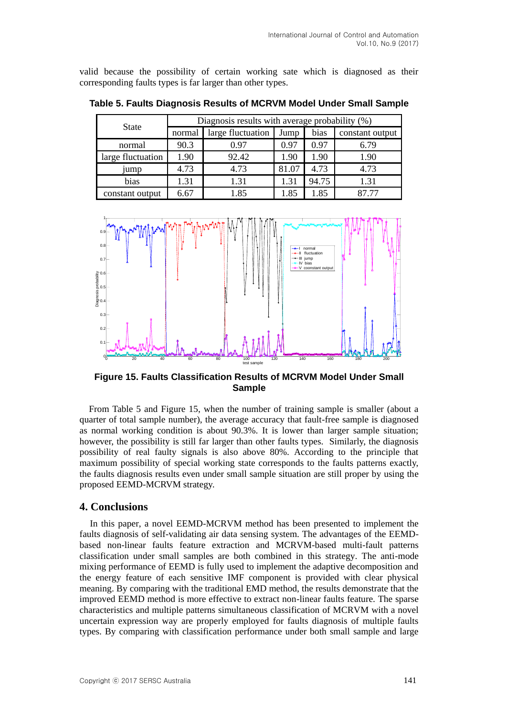valid because the possibility of certain working sate which is diagnosed as their corresponding faults types is far larger than other types.

| <b>State</b>      | Diagnosis results with average probability (%) |                   |       |       |                 |  |
|-------------------|------------------------------------------------|-------------------|-------|-------|-----------------|--|
|                   | normal                                         | large fluctuation | Jump  | bias  | constant output |  |
| normal            | 90.3                                           | 0.97              | 0.97  | 0.97  | 6.79            |  |
| large fluctuation | 1.90                                           | 92.42             | 1.90  | 1.90  | 1.90            |  |
| 1ump              | 4.73                                           | 4.73              | 81.07 | 4.73  | 4.73            |  |
| bias              | 1.31                                           | 1.31              | 1.31  | 94.75 | 1.31            |  |
| constant output   | 6.67                                           | 1.85              | 1.85  | 1.85  |                 |  |

**Table 5. Faults Diagnosis Results of MCRVM Model Under Small Sample**



**Figure 15. Faults Classification Results of MCRVM Model Under Small Sample**

From Table 5 and Figure 15, when the number of training sample is smaller (about a quarter of total sample number), the average accuracy that fault-free sample is diagnosed as normal working condition is about 90.3%. It is lower than larger sample situation; however, the possibility is still far larger than other faults types. Similarly, the diagnosis possibility of real faulty signals is also above 80%. According to the principle that maximum possibility of special working state corresponds to the faults patterns exactly, the faults diagnosis results even under small sample situation are still proper by using the proposed EEMD-MCRVM strategy.

### **4. Conclusions**

In this paper, a novel EEMD-MCRVM method has been presented to implement the faults diagnosis of self-validating air data sensing system. The advantages of the EEMDbased non-linear faults feature extraction and MCRVM-based multi-fault patterns classification under small samples are both combined in this strategy. The anti-mode mixing performance of EEMD is fully used to implement the adaptive decomposition and the energy feature of each sensitive IMF component is provided with clear physical meaning. By comparing with the traditional EMD method, the results demonstrate that the improved EEMD method is more effective to extract non-linear faults feature. The sparse characteristics and multiple patterns simultaneous classification of MCRVM with a novel uncertain expression way are properly employed for faults diagnosis of multiple faults types. By comparing with classification performance under both small sample and large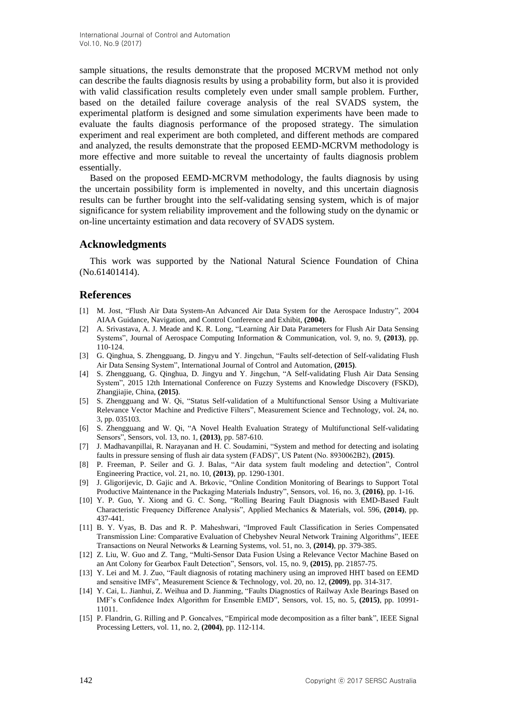sample situations, the results demonstrate that the proposed MCRVM method not only can describe the faults diagnosis results by using a probability form, but also it is provided with valid classification results completely even under small sample problem. Further, based on the detailed failure coverage analysis of the real SVADS system, the experimental platform is designed and some simulation experiments have been made to evaluate the faults diagnosis performance of the proposed strategy. The simulation experiment and real experiment are both completed, and different methods are compared and analyzed, the results demonstrate that the proposed EEMD-MCRVM methodology is more effective and more suitable to reveal the uncertainty of faults diagnosis problem essentially.

Based on the proposed EEMD-MCRVM methodology, the faults diagnosis by using the uncertain possibility form is implemented in novelty, and this uncertain diagnosis results can be further brought into the self-validating sensing system, which is of major significance for system reliability improvement and the following study on the dynamic or on-line uncertainty estimation and data recovery of SVADS system.

## **Acknowledgments**

This work was supported by the National Natural Science Foundation of China (No.61401414).

## **References**

- [1] M. Jost, "Flush Air Data System-An Advanced Air Data System for the Aerospace Industry", 2004 AIAA Guidance, Navigation, and Control Conference and Exhibit, **(2004)**.
- [2] A. Srivastava, A. J. Meade and K. R. Long, "Learning Air Data Parameters for Flush Air Data Sensing Systems", Journal of Aerospace Computing Information & Communication, vol. 9, no. 9, **(2013)**, pp. 110-124.
- [3] G. Qinghua, S. Zhengguang, D. Jingyu and Y. Jingchun, "Faults self-detection of Self-validating Flush Air Data Sensing System", International Journal of Control and Automation, **(2015)**.
- [4] S. Zhengguang, G. Qinghua, D. Jingyu and Y. Jingchun, "A Self-validating Flush Air Data Sensing System", 2015 12th International Conference on Fuzzy Systems and Knowledge Discovery (FSKD), Zhangjiajie, China, **(2015)**.
- [5] S. Zhengguang and W. Qi, "Status Self-validation of a Multifunctional Sensor Using a Multivariate Relevance Vector Machine and Predictive Filters", Measurement Science and Technology, vol. 24, no. 3, pp. 035103.
- [6] S. Zhengguang and W. Qi, "A Novel Health Evaluation Strategy of Multifunctional Self-validating Sensors", Sensors, vol. 13, no. 1, **(2013)**, pp. 587-610.
- [7] J. Madhavanpillai, R. Narayanan and H. C. Soudamini, "System and method for detecting and isolating faults in pressure sensing of flush air data system (FADS)", US Patent (No. 8930062B2), **(2015)**.
- [8] P. Freeman, P. Seiler and G. J. Balas, "Air data system fault modeling and detection", Control Engineering Practice, vol. 21, no. 10, **(2013)**, pp. 1290-1301.
- [9] J. Gligorijevic, D. Gajic and A. Brkovic, "Online Condition Monitoring of Bearings to Support Total Productive Maintenance in the Packaging Materials Industry", Sensors, vol. 16, no. 3, **(2016)**, pp. 1-16.
- [10] Y. P. Guo, Y. Xiong and G. C. Song, "Rolling Bearing Fault Diagnosis with EMD-Based Fault Characteristic Frequency Difference Analysis", Applied Mechanics & Materials, vol. 596, **(2014)**, pp. 437-441.
- [11] B. Y. Vyas, B. Das and R. P. Maheshwari, "Improved Fault Classification in Series Compensated Transmission Line: Comparative Evaluation of Chebyshev Neural Network Training Algorithms", IEEE Transactions on Neural Networks & Learning Systems, vol. 51, no. 3, **(2014)**, pp. 379-385.
- [12] Z. Liu, W. Guo and Z. Tang, "Multi-Sensor Data Fusion Using a Relevance Vector Machine Based on an Ant Colony for Gearbox Fault Detection", Sensors, vol. 15, no. 9, **(2015)**, pp. 21857-75.
- [13] Y. Lei and M. J. Zuo, "Fault diagnosis of rotating machinery using an improved HHT based on EEMD and sensitive IMFs", Measurement Science & Technology, vol. 20, no. 12, **(2009)**, pp. 314-317.
- [14] Y. Cai, L. Jianhui, Z. Weihua and D. Jianming, "Faults Diagnostics of Railway Axle Bearings Based on IMF's Confidence Index Algorithm for Ensemble EMD", Sensors, vol. 15, no. 5, **(2015)**, pp. 10991- 11011.
- [15] P. Flandrin, G. Rilling and P. Goncalves, "Empirical mode decomposition as a filter bank", IEEE Signal Processing Letters, vol. 11, no. 2, **(2004)**, pp. 112-114.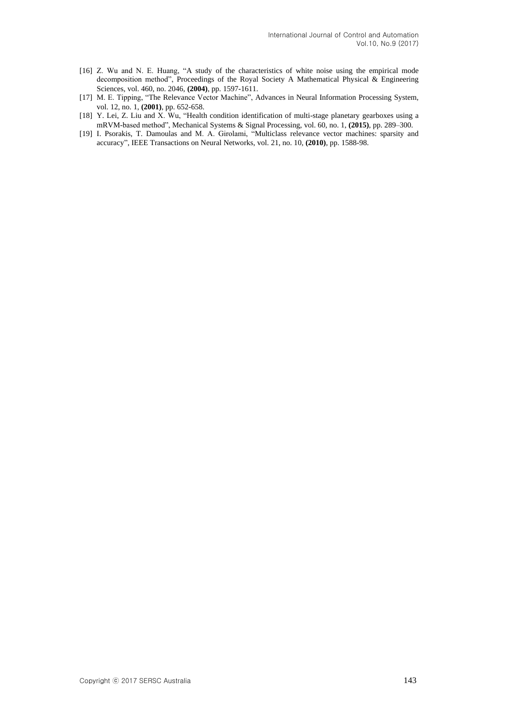- [16] Z. Wu and N. E. Huang, "A study of the characteristics of white noise using the empirical mode decomposition method", Proceedings of the Royal Society A Mathematical Physical & Engineering Sciences, vol. 460, no. 2046, **(2004)**, pp. 1597-1611.
- [17] M. E. Tipping, "The Relevance Vector Machine", Advances in Neural Information Processing System, vol. 12, no. 1, **(2001)**, pp. 652-658.
- [18] Y. Lei, Z. Liu and X. Wu, "Health condition identification of multi-stage planetary gearboxes using a mRVM-based method", Mechanical Systems & Signal Processing, vol. 60, no. 1, **(2015)**, pp. 289–300.
- [19] I. Psorakis, T. Damoulas and M. A. Girolami, "Multiclass relevance vector machines: sparsity and accuracy", IEEE Transactions on Neural Networks, vol. 21, no. 10, **(2010)**, pp. 1588-98.